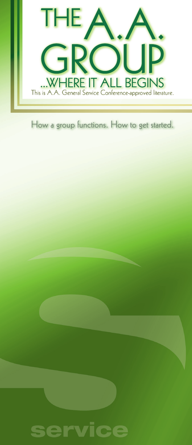

How a group functions. How to get started.

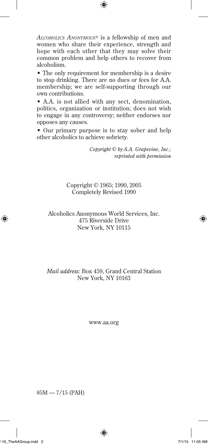*ALCOHOLICS ANONYMOUS®* is a fellowship of men and women who share their experience, strength and hope with each other that they may solve their common problem and help others to recover from alcoholism.

• The only requirement for membership is a desire to stop drinking. There are no dues or fees for A.A. membership; we are self-supporting through our own contributions.

• A.A. is not allied with any sect, denomination, politics, organization or institution; does not wish to engage in any controversy; neither endorses nor opposes any causes.

• Our primary purpose is to stay sober and help other alcoholics to achieve sobriety.

> *Copyright © by A.A. Grapevine, Inc.; reprinted with permission*

#### Copyright © 1965; 1990, 2005 Completely Revised 1990

#### Alcoholics Anonymous World Services, Inc. 475 Riverside Drive New York, NY 10115

#### *Mail address:* Box 459, Grand Central Station New York, NY 10163

www.aa.org

85M — 7/15 (PAH)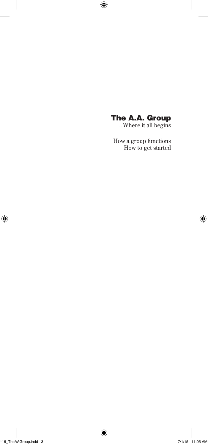# **The A.A. Group**

…Where it all begins

How a group functions How to get started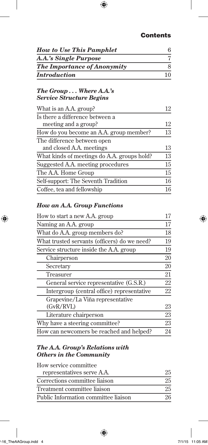#### **Contents**

| <b>How to Use This Pamphlet</b><br>A.A.'s Single Purpose |  |
|----------------------------------------------------------|--|
|                                                          |  |
| <i><b>Introduction</b></i>                               |  |
|                                                          |  |

#### *The Group . . . Where A.A.'s Service Structure Begins*

| What is an A.A. group?                                  | 12 |
|---------------------------------------------------------|----|
| Is there a difference between a                         |    |
| meeting and a group?                                    | 12 |
| How do you become an A.A. group member?                 | 13 |
| The difference between open<br>and closed A.A. meetings | 13 |
| What kinds of meetings do A.A. groups hold?             | 13 |
| Suggested A.A. meeting procedures                       | 15 |
| The A.A. Home Group                                     | 15 |
| Self-support: The Seventh Tradition                     | 16 |
| Coffee, tea and fellowship                              | 16 |

#### *How an A.A. Group Functions*

| How to start a new A.A. group                | 17 |
|----------------------------------------------|----|
| Naming an A.A. group                         | 17 |
| What do A.A. group members do?               | 18 |
| What trusted servants (officers) do we need? | 19 |
| Service structure inside the A.A. group      | 19 |
| Chairperson                                  | 20 |
| Secretary                                    | 20 |
| Treasurer                                    | 21 |
| General service representative (G.S.R.)      | 22 |
| Intergroup (central office) representative   | 22 |
| Grapevine/La Viña representative             |    |
| (GvR/RVL)                                    | 23 |
| Literature chairperson                       | 23 |
| Why have a steering committee?               | 23 |
| How can newcomers be reached and helped?     | 24 |

#### *The A.A. Group's Relations with Others in the Community*

| How service committee                |     |  |
|--------------------------------------|-----|--|
| representatives serve A.A.           | 25  |  |
| Corrections committee liaison        | 25  |  |
| Treatment committee liaison          | 25  |  |
| Public Information committee liaison | 26. |  |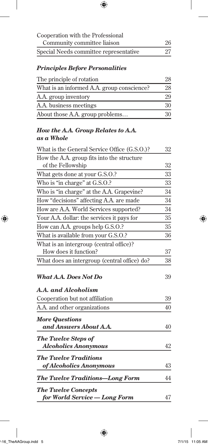| Cooperation with the Professional      |    |  |
|----------------------------------------|----|--|
| Community committee liaison            | 26 |  |
| Special Needs committee representative | 27 |  |

# *Principles Before Personalities*

| The principle of rotation                  |    |
|--------------------------------------------|----|
| What is an informed A.A. group conscience? | 28 |
| A.A. group inventory                       | 29 |
| A.A. business meetings                     |    |
| About those A.A. group problems            | 30 |

## *How the A.A. Group Relates to A.A. as a Whole*

| What is the General Service Office (G.S.O.)?                | 32 |
|-------------------------------------------------------------|----|
| How the A.A. group fits into the structure                  |    |
| of the Fellowship                                           | 32 |
| What gets done at your G.S.O.?                              | 33 |
| Who is "in charge" at G.S.O.?                               | 33 |
| Who is "in charge" at the A.A. Grapevine?                   | 34 |
| How "decisions" affecting A.A. are made                     | 34 |
| How are A.A. World Services supported?                      | 34 |
| Your A.A. dollar: the services it pays for                  | 35 |
| How can A.A. groups help G.S.O.?                            | 35 |
| What is available from your G.S.O.?                         | 36 |
| What is an intergroup (central office)?                     |    |
| How does it function?                                       | 37 |
| What does an intergroup (central office) do?                | 38 |
| What A.A. Does Not Do<br>A.A. and Alcoholism                | 39 |
| Cooperation but not affiliation                             | 39 |
| A.A. and other organizations                                | 40 |
| <b>More Questions</b><br>and Answers About A.A.             | 40 |
| <b>The Twelve Steps of</b><br><b>Alcoholics Anonymous</b>   | 42 |
| <b>The Twelve Traditions</b><br>of Alcoholics Anonymous     | 43 |
| <b>The Twelve Traditions—Long Form</b>                      | 44 |
| <b>The Twelve Concepts</b><br>for World Service — Long Form | 47 |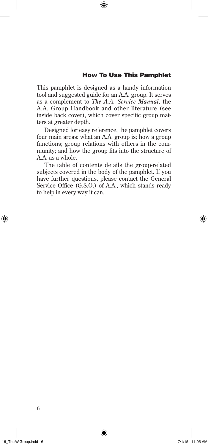#### **How To Use This Pamphlet**

This pamphlet is designed as a handy information tool and suggested guide for an A.A. group. It serves as a complement to *The A.A. Service Manual,* the A.A. Group Handbook and other literature (see inside back cover), which cover specific group matters at greater depth.

Designed for easy reference, the pamphlet covers four main areas: what an A.A. group is; how a group functions; group relations with others in the community; and how the group fits into the structure of A.A. as a whole.

The table of contents details the group-related subjects covered in the body of the pamphlet. If you have further questions, please contact the General Service Office (G.S.O.) of A.A., which stands ready to help in every way it can.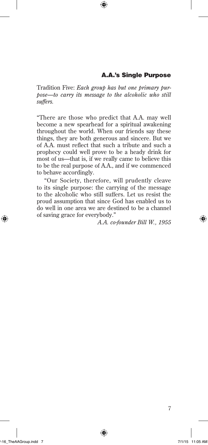#### **A.A.'s Single Purpose**

Tradition Five: *Each group has but one primary purpose—to carry its message to the alcoholic who still suffers.*

"There are those who predict that A.A. may well become a new spearhead for a spiritual awakening throughout the world. When our friends say these things, they are both generous and sincere. But we of A.A. must reflect that such a tribute and such a prophecy could well prove to be a heady drink for most of us—that is, if we really came to believe this to be the real purpose of A.A., and if we commenced to behave accordingly.

"Our Society, therefore, will prudently cleave to its single purpose: the carrying of the message to the alcoholic who still suffers. Let us resist the proud assumption that since God has enabled us to do well in one area we are destined to be a channel of saving grace for everybody."

*A.A. co-founder Bill W., 1955*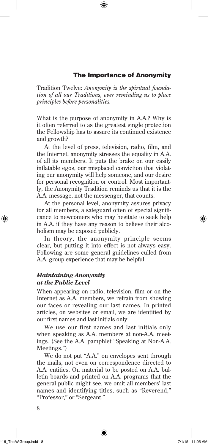#### **The Importance of Anonymity**

Tradition Twelve: *Anonymity is the spiritual foundation of all our Traditions, ever reminding us to place principles before personalities.* 

What is the purpose of anonymity in A.A.? Why is it often referred to as the greatest single protection the Fellowship has to assure its continued existence and growth?

At the level of press, television, radio, film, and the Internet, anonymity stresses the equality in A.A. of all its members. It puts the brake on our easily inflatable egos, our misplaced conviction that violating our anonymity will help someone, and our desire for personal recognition or control. Most importantly, the Anonymity Tradition reminds us that it is the A.A. message, not the messenger, that counts.

At the personal level, anonymity assures privacy for all members, a safeguard often of special significance to newcomers who may hesitate to seek help in A.A. if they have any reason to believe their alcoholism may be exposed publicly.

In theory, the anonymity principle seems clear, but putting it into effect is not always easy. Following are some general guidelines culled from A.A. group experience that may be helpful.

#### *Maintaining Anonymity at the Public Level*

When appearing on radio, television, film or on the Internet as A.A. members, we refrain from showing our faces or revealing our last names. In printed articles, on websites or email, we are identified by our first names and last initials only.

We use our first names and last initials only when speaking as A.A. members at non-A.A. meetings. (See the A.A. pamphlet "Speaking at Non-A.A. Meetings.")

We do not put "A.A." on envelopes sent through the mails, not even on correspondence directed to A.A. entities. On material to be posted on A.A. bulletin boards and printed on A.A. programs that the general public might see, we omit all members' last names and identifying titles, such as "Reverend," "Professor," or "Sergeant."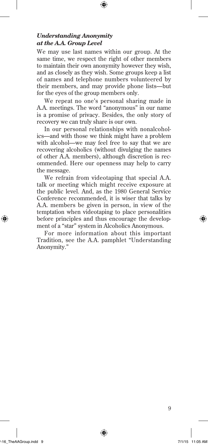#### *Understanding Anonymity at the A.A. Group Level*

We may use last names within our group. At the same time, we respect the right of other members to maintain their own anonymity however they wish, and as closely as they wish. Some groups keep a list of names and telephone numbers volunteered by their members, and may provide phone lists—but for the eyes of the group members only.

We repeat no one's personal sharing made in A.A. meetings. The word "anonymous" in our name is a promise of privacy. Besides, the only story of recovery we can truly share is our own.

In our personal relationships with nonalcoholics—and with those we think might have a problem with alcohol—we may feel free to say that we are recovering alcoholics (without divulging the names of other A.A. members), although discretion is recommended. Here our openness may help to carry the message.

We refrain from videotaping that special A.A. talk or meeting which might receive exposure at the public level. And, as the 1980 General Service Conference recommended, it is wiser that talks by A.A. members be given in person, in view of the temptation when videotaping to place personalities before principles and thus encourage the development of a "star" system in Alcoholics Anonymous.

For more information about this important Tradition, see the A.A. pamphlet "Understanding Anonymity."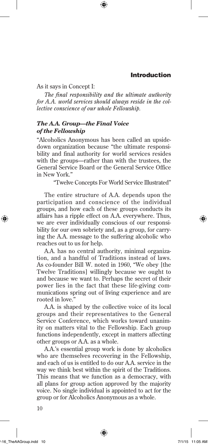#### **Introduction**

As it says in Concept I:

*The final responsibility and the ultimate authority for A.A. world services should always reside in the collective conscience of our whole Fellowship.*

#### *The A.A. Group—the Final Voice of the Fellowship*

"Alcoholics Anonymous has been called an upsidedown organization because "the ultimate responsibility and final authority for world services resides with the groups—rather than with the trustees, the General Service Board or the General Service Office in New York."

"Twelve Concepts For World Service Illustrated"

The entire structure of A.A. depends upon the participation and conscience of the individual groups, and how each of these groups conducts its affairs has a ripple effect on A.A. everywhere. Thus, we are ever individually conscious of our responsibility for our own sobriety and, as a group, for carrying the A.A. message to the suffering alcoholic who reaches out to us for help.

A.A. has no central authority, minimal organization, and a handful of Traditions instead of laws. As co-founder Bill W. noted in 1960, "We obey [the Twelve Traditions] willingly because we ought to and because we want to. Perhaps the secret of their power lies in the fact that these life-giving communications spring out of living experience and are rooted in love."

A.A. is shaped by the collective voice of its local groups and their representatives to the General Service Conference, which works toward unanimity on matters vital to the Fellowship. Each group functions independently, except in matters affecting other groups or A.A. as a whole.

A.A.'s essential group work is done by alcoholics who are themselves recovering in the Fellowship, and each of us is entitled to do our A.A. service in the way we think best within the spirit of the Traditions. This means that we function as a democracy, with all plans for group action approved by the majority voice. No single individual is appointed to act for the group or for Alcoholics Anonymous as a whole.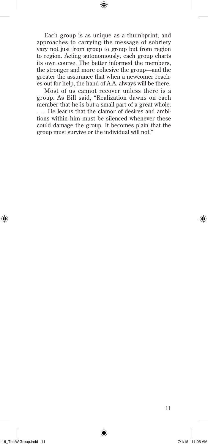Each group is as unique as a thumbprint, and approaches to carrying the message of sobriety vary not just from group to group but from region to region. Acting autonomously, each group charts its own course. The better informed the members, the stronger and more cohesive the group—and the greater the assurance that when a newcomer reaches out for help, the hand of A.A. always will be there.

Most of us cannot recover unless there is a group. As Bill said, "Realization dawns on each member that he is but a small part of a great whole. . . . He learns that the clamor of desires and ambitions within him must be silenced whenever these could damage the group. It becomes plain that the group must survive or the individual will not."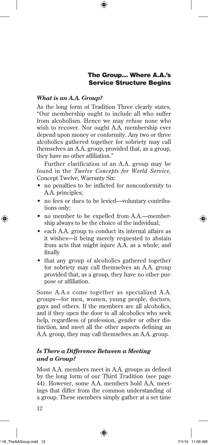### **The Group… Where A.A.'s Service Structure Begins**

#### *What is an A.A. Group?*

As the long form of Tradition Three clearly states, "Our membership ought to include all who suffer from alcoholism. Hence we may refuse none who wish to recover. Nor ought A.A. membership ever depend upon money or conformity. Any two or three alcoholics gathered together for sobriety may call themselves an A.A. group, provided that, as a group, they have no other affiliation."

Further clarification of an A.A. group may be found in the *Twelve Concepts for World Service,*  Concept Twelve, Warranty Six:

- no penalties to be inflicted for nonconformity to A.A. principles;
- no fees or dues to be levied—voluntary contributions only;
- no member to be expelled from A.A.—membership always to be the choice of the individual;
- each A.A. group to conduct its internal affairs as it wishes—it being merely requested to abstain from acts that might injure A.A. as a whole; and finally
- that any group of alcoholics gathered together for sobriety may call themselves an A.A. group provided that, as a group, they have no other purpose or affiliation.

Some A.A.s come together as specialized A.A. groups—for men, women, young people, doctors, gays and others. If the members are all alcoholics, and if they open the door to all alcoholics who seek help, regardless of profession, gender or other distinction, and meet all the other aspects defining an A.A. group, they may call themselves an A.A. group.

#### *Is There a Difference Between a Meeting and a Group?*

Most A.A. members meet in A.A. groups as defined by the long form of our Third Tradition (see page 44). However, some A.A. members hold A.A. meetings that differ from the common understanding of a group. These members simply gather at a set time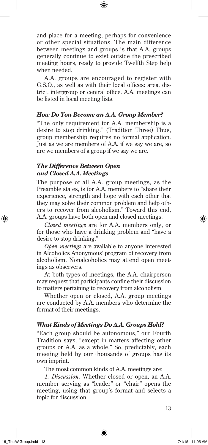and place for a meeting, perhaps for convenience or other special situations. The main difference between meetings and groups is that A.A. groups generally continue to exist outside the prescribed meeting hours, ready to provide Twelfth Step help when needed.

A.A. groups are encouraged to register with G.S.O., as well as with their local offices: area, district, intergroup or central office. A.A. meetings can be listed in local meeting lists.

#### *How Do You Become an A.A. Group Member?*

"The only requirement for A.A. membership is a desire to stop drinking." (Tradition Three) Thus, group membership requires no formal application. Just as we are members of A.A. if we say we are, so are we members of a group if we say we are.

#### *The Difference Between Open and Closed A.A. Meetings*

The purpose of all A.A. group meetings, as the Preamble states, is for A.A. members to "share their experience, strength and hope with each other that they may solve their common problem and help others to recover from alcoholism." Toward this end, A.A. groups have both open and closed meetings.

*Closed meetings* are for A.A. members only, or for those who have a drinking problem and "have a desire to stop drinking."

*Open meetings* are available to anyone interested in Alcoholics Anonymous' program of recovery from alcoholism. Nonalcoholics may attend open meetings as observers.

At both types of meetings, the A.A. chairperson may request that participants confine their discussion to matters pertaining to recovery from alcoholism.

Whether open or closed, A.A. group meetings are conducted by A.A. members who determine the format of their meetings.

#### *What Kinds of Meetings Do A.A. Groups Hold?*

"Each group should be autonomous," our Fourth Tradition says, "except in matters affecting other groups or A.A. as a whole." So, predictably, each meeting held by our thousands of groups has its own imprint.

The most common kinds of A.A. meetings are:

*1. Discussion.* Whether closed or open, an A.A. member serving as "leader" or "chair" opens the meeting, using that group's format and selects a topic for discussion.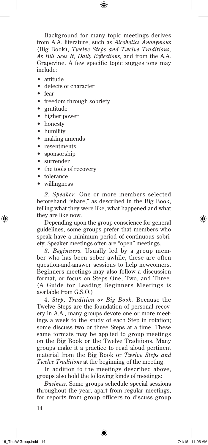Background for many topic meetings derives from A.A. literature, such as *Alcoholics Anonymous* (Big Book), *Twelve Steps and Twelve Traditions, As Bill Sees It, Daily Reflections,* and from the A.A. Grapevine. A few specific topic suggestions may include:

- attitude
- defects of character
- fear
- freedom through sobriety
- gratitude
- higher power
- honesty
- humility
- making amends
- resentments
- sponsorship
- surrender
- the tools of recovery
- tolerance
- willingness

*2. Speaker.* One or more members selected beforehand "share," as described in the Big Book, telling what they were like, what happened and what they are like now.

Depending upon the group conscience for general guidelines, some groups prefer that members who speak have a minimum period of continuous sobriety. Speaker meetings often are "open" meetings.

*3. Beginners.* Usually led by a group member who has been sober awhile, these are often question-and-answer sessions to help newcomers. Beginners meetings may also follow a discussion format, or focus on Steps One, Two, and Three. (A Guide for Leading Beginners Meetings is available from G.S.O.)

4. *Step, Tradition or Big Book.* Because the Twelve Steps are the foundation of personal recovery in A.A., many groups devote one or more meetings a week to the study of each Step in rotation; some discuss two or three Steps at a time. These same formats may be applied to group meetings on the Big Book or the Twelve Traditions. Many groups make it a practice to read aloud pertinent material from the Big Book or *Twelve Steps and Twelve Traditions* at the beginning of the meeting.

In addition to the meetings described above, groups also hold the following kinds of meetings:

*Business*. Some groups schedule special sessions throughout the year, apart from regular meetings, for reports from group officers to discuss group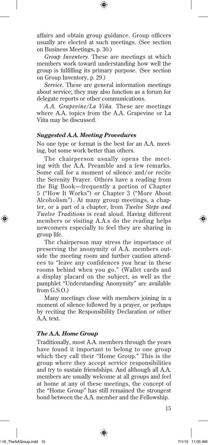affairs and obtain group guidance. Group officers usually are elected at such meetings. (See section on Business Meetings, p. 30.)

*Group Inventory.* These are meetings at which members work toward understanding how well the group is fulfilling its primary purpose. (See section on Group Inventory, p. 29.)

*Service*. These are general information meetings about service; they may also function as a forum for delegate reports or other communications.

*A.A. Grapevine/La Viña.* These are meetings where A.A. topics from the A.A. Grapevine or La Viña may be discussed.

#### *Suggested A.A. Meeting Procedures*

No one type or format is the best for an A.A. meeting, but some work better than others.

The chairperson usually opens the meeting with the A.A. Preamble and a few remarks. Some call for a moment of silence and/or recite the Serenity Prayer. Others have a reading from the Big Book—frequently a portion of Chapter 5 ("How It Works") or Chapter 3 ("More About Alcoholism"). At many group meetings, a chapter, or a part of a chapter, from *Twelve Steps and Twelve Traditions* is read aloud. Having different members or visiting A.A.s do the reading helps newcomers especially to feel they are sharing in group life.

The chairperson may stress the importance of preserving the anonymity of A.A. members outside the meeting room and further caution attendees to "leave any confidences you hear in these rooms behind when you go." (Wallet cards and a display placard on the subject, as well as the pamphlet "Understanding Anonymity" are available from G.S.O.)

Many meetings close with members joining in a moment of silence followed by a prayer, or perhaps by reciting the Responsibility Declaration or other A.A. text.

#### *The A.A. Home Group*

Traditionally, most A.A. members through the years have found it important to belong to one group which they call their "Home Group." This is the group where they accept service responsibilities and try to sustain friendships. And although all A.A. members are usually welcome at all groups and feel at home at any of these meetings, the concept of the "Home Group" has still remained the strongest bond between the A.A. member and the Fellowship.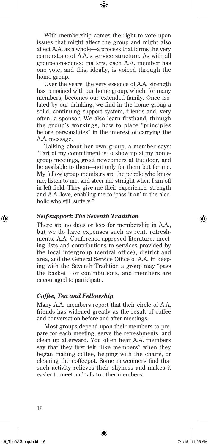With membership comes the right to vote upon issues that might affect the group and might also affect A.A. as a whole—a process that forms the very cornerstone of A.A.'s service structure. As with all group-conscience matters, each A.A. member has one vote; and this, ideally, is voiced through the home group.

Over the years, the very essence of A.A. strength has remained with our home group, which, for many members, becomes our extended family. Once isolated by our drinking, we find in the home group a solid, continuing support system, friends and, very often, a sponsor. We also learn firsthand, through the group's workings, how to place "principles before personalities" in the interest of carrying the A.A. message.

Talking about her own group, a member says: "Part of my commitment is to show up at my homegroup meetings, greet newcomers at the door, and be available to them—not only for them but for me. My fellow group members are the people who know me, listen to me, and steer me straight when I am off in left field. They give me their experience, strength and A.A. love, enabling me to 'pass it on' to the alcoholic who still suffers."

#### *Self-support: The Seventh Tradition*

There are no dues or fees for membership in A.A., but we do have expenses such as rent, refreshments, A.A. Conference-approved literature, meeting lists and contributions to services provided by the local intergroup (central office), district and area, and the General Service Office of A.A. In keeping with the Seventh Tradition a group may "pass the basket" for contributions, and members are encouraged to participate.

#### *Coffee, Tea and Fellowship*

Many A.A. members report that their circle of A.A. friends has widened greatly as the result of coffee and conversation before and after meetings.

Most groups depend upon their members to prepare for each meeting, serve the refreshments, and clean up afterward. You often hear A.A. members say that they first felt "like members" when they began making coffee, helping with the chairs, or cleaning the coffeepot. Some newcomers find that such activity relieves their shyness and makes it easier to meet and talk to other members.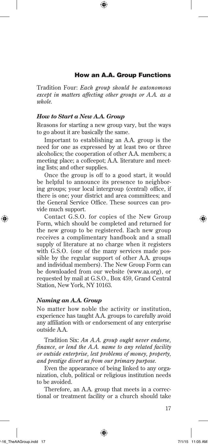#### **How an A.A. Group Functions**

Tradition Four: *Each group should be autonomous except in matters affecting other groups or A.A. as a whole.*

#### *How to Start a New A.A. Group*

Reasons for starting a new group vary, but the ways to go about it are basically the same.

Important to establishing an A.A. group is the need for one as expressed by at least two or three alcoholics; the cooperation of other A.A. members; a meeting place; a coffeepot; A.A. literature and meeting lists; and other supplies.

Once the group is off to a good start, it would be helpful to announce its presence to neighboring groups; your local intergroup (central) office, if there is one; your district and area committees; and the General Service Office. These sources can provide much support.

Contact G.S.O. for copies of the New Group Form, which should be completed and returned for the new group to be registered. Each new group receives a complimentary handbook and a small supply of literature at no charge when it registers with G.S.O. (one of the many services made possible by the regular support of other A.A. groups and individual members). The New Group Form can be downloaded from our website (www.aa.org), or requested by mail at G.S.O., Box 459, Grand Central Station, New York, NY 10163.

#### *Naming an A.A. Group*

No matter how noble the activity or institution, experience has taught A.A. groups to carefully avoid any affiliation with or endorsement of any enterprise outside A.A.

Tradition Six: *An A.A. group ought never endorse, finance, or lend the A.A. name to any related facility or outside enterprise, lest problems of money, property, and prestige divert us from our primary purpose.*

Even the appearance of being linked to any organization, club, political or religious institution needs to be avoided.

Therefore, an A.A. group that meets in a correctional or treatment facility or a church should take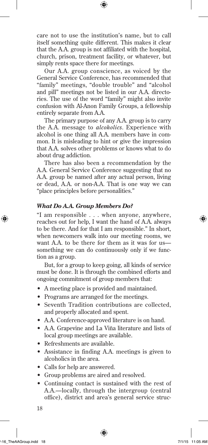care not to use the institution's name, but to call itself something quite different. This makes it clear that the A.A. group is not affiliated with the hospital, church, prison, treatment facility, or whatever, but simply rents space there for meetings.

Our A.A. group conscience, as voiced by the General Service Conference, has recommended that "family" meetings, "double trouble" and "alcohol and pill" meetings not be listed in our A.A. directories. The use of the word "family" might also invite confusion with Al-Anon Family Groups, a fellowship entirely separate from A.A.

The primary purpose of any A.A. group is to carry the A.A. message to *alcoholics*. Experience with alcohol is one thing all A.A. members have in common. It is misleading to hint or give the impression that A.A. solves other problems or knows what to do about drug addiction.

There has also been a recommendation by the A.A. General Service Conference suggesting that no A.A. group be named after any actual person, living or dead, A.A. or non-A.A. That is one way we can "place principles before personalities."

#### *What Do A.A. Group Members Do?*

"I am responsible . . . when anyone, anywhere, reaches out for help, I want the hand of A.A. always to be there. And for that I am responsible." In short, when newcomers walk into our meeting rooms, we want A.A. to be there for them as it was for us something we can do continuously only if we function as a group.

But, for a group to keep going, all kinds of service must be done. It is through the combined efforts and ongoing commitment of group members that:

- A meeting place is provided and maintained.
- Programs are arranged for the meetings.
- Seventh Tradition contributions are collected, and properly allocated and spent.
- A.A. Conference-approved literature is on hand.
- A.A. Grapevine and La Viña literature and lists of local group meetings are available.
- Refreshments are available.
- Assistance in finding A.A. meetings is given to alcoholics in the area.
- Calls for help are answered.
- Group problems are aired and resolved.
- Continuing contact is sustained with the rest of A.A.—locally, through the intergroup (central office), district and area's general service struc-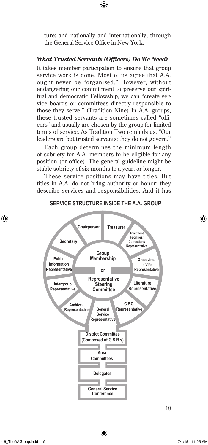ture; and nationally and internationally, through the General Service Office in New York.

#### *What Trusted Servants (Officers) Do We Need?*

It takes member participation to ensure that group service work is done. Most of us agree that A.A. ought never be "organized." However, without endangering our commitment to preserve our spiritual and democratic Fellowship, we can "create service boards or committees directly responsible to those they serve." (Tradition Nine) In A.A. groups, these trusted servants are sometimes called "officers" and usually are chosen by the group for limited terms of service. As Tradition Two reminds us, "Our leaders are but trusted servants; they do not govern."

Each group determines the minimum length of sobriety for A.A. members to be eligible for any position (or office). The general guideline might be stable sobriety of six months to a year, or longer.

These service positions may have titles. But titles in A.A. do not bring authority or honor; they describe services and responsibilities. And it has



**SERVICE STRUCTURE INSIDE THE A.A. GROUP**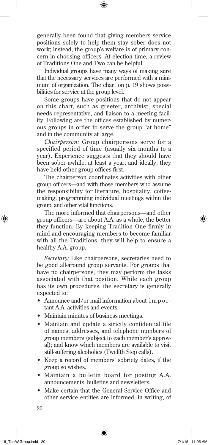generally been found that giving members service positions solely to help them stay sober does not work; instead, the group's welfare is of primary concern in choosing officers. At election time, a review of Traditions One and Two can be helpful.

Individual groups have many ways of making sure that the necessary services are performed with a minimum of organization. The chart on p. 19 shows possibilities for service at the group level.

Some groups have positions that do not appear on this chart, such as greeter, archivist, special needs representative, and liaison to a meeting facility. Following are the offices established by numerous groups in order to serve the group "at home" and in the community at large.

*Chairperson:* Group chairpersons serve for a specified period of time (usually six months to a year). Experience suggests that they should have been sober awhile, at least a year; and ideally, they have held other group offices first.

The chairperson coordinates activities with other group officers—and with those members who assume the responsibility for literature, hospitality, coffeemaking, programming individual meetings within the group, and other vital functions.

The more informed that chairpersons—and other group officers—are about A.A. as a whole, the better they function. By keeping Tradition One firmly in mind and encouraging members to become familiar with all the Traditions, they will help to ensure a healthy A.A. group.

*Secretary:* Like chairpersons, secretaries need to be good all-around group servants. For groups that have no chairpersons, they may perform the tasks associated with that position. While each group has its own procedures, the secretary is generally expected to:

- Announce and/or mail information about important A.A. activities and events.
- Maintain minutes of business meetings.
- Maintain and update a strictly confidential file of names, addresses, and telephone numbers of group members (subject to each member's approval); and know which members are available to visit still-suffering alcoholics (Twelfth Step calls).
- Keep a record of members' sobriety dates, if the group so wishes.
- Maintain a bulletin board for posting A.A. announcements, bulletins and newsletters.
- Make certain that the General Service Office and other service entities are informed, in writing, of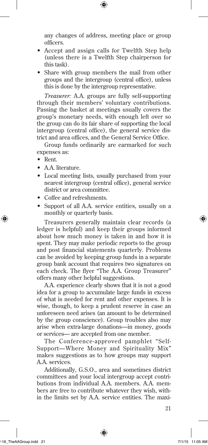any changes of address, meeting place or group officers.

- Accept and assign calls for Twelfth Step help (unless there is a Twelfth Step chairperson for this task).
- Share with group members the mail from other groups and the intergroup (central office), unless this is done by the intergroup representative.

*Treasurer:* A.A. groups are fully self-supporting through their members' voluntary contributions. Passing the basket at meetings usually covers the group's monetary needs, with enough left over so the group can do its fair share of supporting the local intergroup (central office), the general service district and area offices, and the General Service Office.

Group funds ordinarily are earmarked for such expenses as:

- Rent.
- A.A. literature.
- Local meeting lists, usually purchased from your nearest intergroup (central office), general service district or area committee.
- Coffee and refreshments.
- Support of all A.A. service entities, usually on a monthly or quarterly basis.

Treasurers generally maintain clear records (a ledger is helpful) and keep their groups informed about how much money is taken in and how it is spent. They may make periodic reports to the group and post financial statements quarterly. Problems can be avoided by keeping group funds in a separate group bank account that requires two signatures on each check. The flyer "The A.A. Group Treasurer" offers many other helpful suggestions.

A.A. experience clearly shows that it is not a good idea for a group to accumulate large funds in excess of what is needed for rent and other expenses. It is wise, though, to keep a prudent reserve in case an unforeseen need arises (an amount to be determined by the group conscience). Group troubles also may arise when extra-large donations—in money, goods or services— are accepted from one member.

The Conference-approved pamphlet "Self-Support—Where Money and Spirituality Mix" makes suggestions as to how groups may support A.A. services.

Additionally, G.S.O., area and sometimes district committees and your local intergroup accept contributions from individual A.A. members. A.A. members are free to contribute whatever they wish, within the limits set by A.A. service entities. The maxi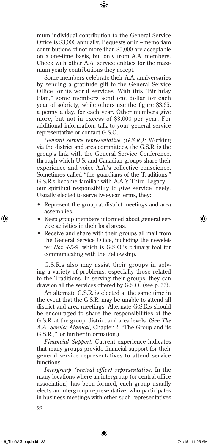mum individual contribution to the General Service Office is \$3,000 annually. Bequests or in –memoriam contributions of not more than \$5,000 are acceptable on a one-time basis, but only from A.A. members. Check with other A.A. service entities for the maximum yearly contributions they accept.

Some members celebrate their A.A. anniversaries by sending a gratitude gift to the General Service Office for its world services. With this "Birthday Plan," some members send one dollar for each year of sobriety, while others use the figure \$3.65, a penny a day, for each year. Other members give more, but not in excess of \$3,000 per year. For additional information, talk to your general service representative or contact G.S.O.

*General service representative (G.S.R.):* Working via the district and area committees, the G.S.R. is the group's link with the General Service Conference, through which U.S. and Canadian groups share their experience and voice A.A.'s collective conscience. Sometimes called "the guardians of the Traditions," G.S.R.s become familiar with A.A.'s Third Legacy our spiritual responsibility to give service freely. Usually elected to serve two-year terms, they:

- Represent the group at district meetings and area assemblies.
- Keep group members informed about general service activities in their local areas.
- Receive and share with their groups all mail from the General Service Office, including the newsletter *Box 4-5-9*, which is G.S.O.'s primary tool for communicating with the Fellowship.

G.S.R.s also may assist their groups in solving a variety of problems, especially those related to the Traditions. In serving their groups, they can draw on all the services offered by G.S.O. (see p. 33).

An alternate G.S.R. is elected at the same time in the event that the G.S.R. may be unable to attend all district and area meetings. Alternate G.S.R.s should be encouraged to share the responsibilities of the G.S.R. at the group, district and area levels. (See *The A.A. Service Manual,* Chapter 2, "The Group and its G.S.R*.,"* for further information.)

*Financial Support:* Current experience indicates that many groups provide financial support for their general service representatives to attend service functions.

*Intergroup (central office) representative:* In the many locations where an intergroup (or central office association) has been formed, each group usually elects an intergroup representative, who participates in business meetings with other such representatives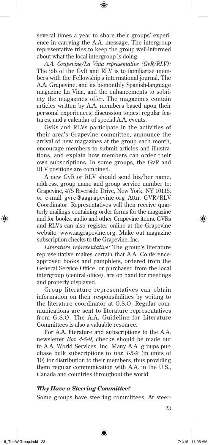several times a year to share their groups' experience in carrying the A.A. message. The intergroup representative tries to keep the group well-informed about what the local intergroup is doing.

*A.A. Grapevine/La Viña representative (GvR/RLV):* The job of the GvR and RLV is to familiarize members with the Fellowship's international journal, The A.A. Grapevine, and its bi-monthly Spanish-language magazine La Viña, and the enhancements to sobriety the magazines offer. The magazines contain articles written by A.A. members based upon their personal experiences; discussion topics; regular features, and a calendar of special A.A. events.

GvRs and RLVs participate in the activities of their area's Grapevine committee, announce the arrival of new magazines at the group each month, encourage members to submit articles and illustrations, and explain how members can order their own subscriptions. In some groups, the GvR and RLV positions are combined.

A new GvR or RLV should send his/her name, address, group name and group service number to: Grapevine, 475 Riverside Drive, New York, NY 10115, or e-mail gvrc@aagrapevine.org Attn: GVR/RLV Coordinator. Representatives will then receive quarterly mailings containing order forms for the magazine and for books, audio and other Grapevine items. GVRs and RLVs can also register online at the Grapevine website: www.aagrapevine.org. Make out magazine subscription checks to the Grapevine, Inc.

*Literature representative:* The group's literature representative makes certain that A.A. Conferenceapproved books and pamphlets, ordered from the General Service Office, or purchased from the local intergroup (central office), are on hand for meetings and properly displayed.

Group literature representatives can obtain information on their responsibilities by writing to the literature coordinator at G.S.O. Regular communications are sent to literature representatives from G.S.O. The A.A. Guideline for Literature Committees is also a valuable resource.

For A.A. literature and subscriptions to the A.A. newsletter *Box 4-5-9,* checks should be made out to A.A. World Services, Inc. Many A.A. groups purchase bulk subscriptions to *Box 4-5-9* (in units of 10) for distribution to their members, thus providing them regular communication with A.A. in the U.S., Canada and countries throughout the world.

#### *Why Have a Steering Committee?*

Some groups have steering committees. At steer-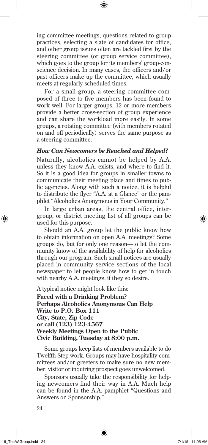ing committee meetings, questions related to group practices, selecting a slate of candidates for office, and other group issues often are tackled first by the steering committee (or group service committee), which goes to the group for its members' group-conscience decision. In many cases, the officers and/or past officers make up the committee, which usually meets at regularly scheduled times.

For a small group, a steering committee composed of three to five members has been found to work well. For larger groups, 12 or more members provide a better cross-section of group experience and can share the workload more easily. In some groups, a rotating committee (with members rotated on and off periodically) serves the same purpose as a steering committee.

#### *How Can Newcomers be Reached and Helped?*

Naturally, alcoholics cannot be helped by A.A. unless they know A.A. exists, and where to find it. So it is a good idea for groups in smaller towns to communicate their meeting place and times to public agencies. Along with such a notice, it is helpful to distribute the flyer "A.A. at a Glance" or the pamphlet "Alcoholics Anonymous in Your Community."

In large urban areas, the central office, intergroup, or district meeting list of all groups can be used for this purpose.

Should an A.A. group let the public know how to obtain information on open A.A. meetings? Some groups do, but for only one reason—to let the community know of the availability of help for alcoholics through our program. Such small notices are usually placed in community service sections of the local newspaper to let people know how to get in touch with nearby A.A. meetings, if they so desire.

A typical notice might look like this: **Faced with a Drinking Problem? Perhaps Alcoholics Anonymous Can Help Write to P.O. Box 111 City, State, Zip Code or call (123) 123-4567 Weekly Meetings Open to the Public Civic Building, Tuesday at 8:00 p.m.**

Some groups keep lists of members available to do Twelfth Step work. Groups may have hospitality committees and/or greeters to make sure no new member, visitor or inquiring prospect goes unwelcomed.

Sponsors usually take the responsibility for helping newcomers find their way in A.A. Much help can be found in the A.A. pamphlet "Questions and Answers on Sponsorship."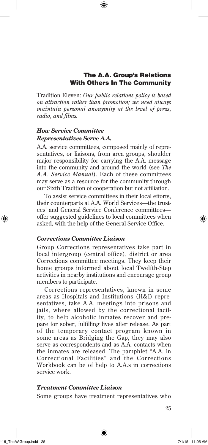#### **The A.A. Group's Relations With Others In The Community**

Tradition Eleven: *Our public relations policy is based on attraction rather than promotion; we need always maintain personal anonymity at the level of press, radio, and films.*

#### *How Service Committee Representatives Serve A.A.*

A.A. service committees, composed mainly of representatives, or liaisons, from area groups, shoulder major responsibility for carrying the A.A. message into the community and around the world (see *The A.A. Service Manual*). Each of these committees may serve as a resource for the community through our Sixth Tradition of cooperation but not affiliation.

To assist service committees in their local efforts, their counterparts at A.A. World Services—the trustees' and General Service Conference committees offer suggested guidelines to local committees when asked, with the help of the General Service Office.

#### *Corrections Committee Liaison*

Group Corrections representatives take part in local intergroup (central office), district or area Corrections committee meetings. They keep their home groups informed about local Twelfth-Step activities in nearby institutions and encourage group members to participate.

Corrections representatives, known in some areas as Hospitals and Institutions (H&I) representatives, take A.A. meetings into prisons and jails, where allowed by the correctional facility, to help alcoholic inmates recover and prepare for sober, fulfilling lives after release. As part of the temporary contact program known in some areas as Bridging the Gap, they may also serve as correspondents and as A.A. contacts when the inmates are released. The pamphlet "A.A. in Correctional Facilities" and the Corrections Workbook can be of help to A.A.s in corrections service work.

### *Treatment Committee Liaison*

Some groups have treatment representatives who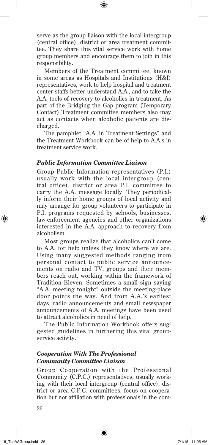serve as the group liaison with the local intergroup (central office), district or area treatment committee. They share this vital service work with home group members and encourage them to join in this responsibility.

Members of the Treatment committee, known in some areas as Hospitals and Institutions (H&I) representatives, work to help hospital and treatment center staffs better understand A.A., and to take the A.A. tools of recovery to alcoholics in treatment. As part of the Bridging the Gap program (Temporary Contact) Treatment committee members also may act as contacts when alcoholic patients are discharged.

The pamphlet "A.A. in Treatment Settings" and the Treatment Workbook can be of help to A.A.s in treatment service work.

#### *Public Information Committee Liaison*

Group Public Information representatives (P.I.) usually work with the local intergroup (central office), district or area P.I. committee to carry the A.A. message locally. They periodically inform their home groups of local activity and may arrange for group volunteers to participate in P.I. programs requested by schools, businesses, law-enforcement agencies and other organizations interested in the A.A. approach to recovery from alcoholism.

Most groups realize that alcoholics can't come to A.A. for help unless they know where we are. Using many suggested methods ranging from personal contact to public service announcements on radio and TV, groups and their members reach out, working within the framework of Tradition Eleven. Sometimes a small sign saying "A.A. meeting tonight" outside the meeting-place door points the way. And from A.A.'s earliest days, radio announcements and small newspaper announcements of A.A. meetings have been used to attract alcoholics in need of help.

The Public Information Workbook offers suggested guidelines in furthering this vital groupservice activity.

#### *Cooperation With The Professional Community Committee Liaison*

Group Cooperation with the Professional Community (C.P.C.) representatives, usually working with their local intergroup (central office), district or area C.P.C. committees, focus on cooperation but not affiliation with professionals in the com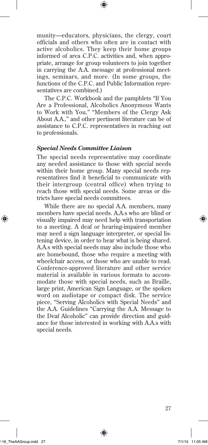munity—educators, physicians, the clergy, court officials and others who often are in contact with active alcoholics. They keep their home groups informed of area C.P.C. activities and, when appropriate, arrange for group volunteers to join together in carrying the A.A. message at professional meetings, seminars, and more. (In some groups, the functions of the C.P.C. and Public Information representatives are combined.)

The C.P.C. Workbook and the pamphlets "If You Are a Professional, Alcoholics Anonymous Wants to Work with You," "Members of the Clergy Ask About A.A.," and other pertinent literature can be of assistance to C.P.C. representatives in reaching out to professionals.

#### *Special Needs Committee Liaison*

The special needs representative may coordinate any needed assistance to those with special needs within their home group. Many special needs representatives find it beneficial to communicate with their intergroup (central office) when trying to reach those with special needs. Some areas or districts have special needs committees.

While there are no special A.A. members, many members have special needs. A.A.s who are blind or visually impaired may need help with transportation to a meeting. A deaf or hearing-impaired member may need a sign language interpreter, or special listening device, in order to hear what is being shared. A.A.s with special needs may also include those who are homebound, those who require a meeting with wheelchair access, or those who are unable to read. Conference-approved literature and other service material is available in various formats to accommodate those with special needs, such as Braille, large print, American Sign Language, or the spoken word on audiotape or compact disk. The service piece, "Serving Alcoholics with Special Needs" and the A.A. Guidelines "Carrying the A.A. Message to the Deaf Alcoholic" can provide direction and guidance for those interested in working with A.A.s with special needs.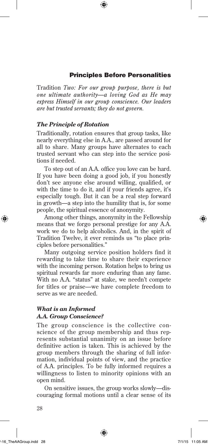#### **Principles Before Personalities**

Tradition *Two: For our group purpose, there is but one ultimate authority—a loving God as He may express Himself in our group conscience. Our leaders are but trusted servants; they do not govern.*

#### *The Principle of Rotation*

Traditionally, rotation ensures that group tasks, like nearly everything else in A.A., are passed around for all to share. Many groups have alternates to each trusted servant who can step into the service positions if needed.

To step out of an A.A. office you love can be hard. If you have been doing a good job, if you honestly don't see anyone else around willing, qualified, or with the time to do it, and if your friends agree, it's especially tough. But it can be a real step forward in growth—a step into the humility that is, for some people, the spiritual essence of anonymity.

Among other things, anonymity in the Fellowship means that we forgo personal prestige for any A.A. work we do to help alcoholics. And, in the spirit of Tradition Twelve, it ever reminds us "to place principles before personalities."

Many outgoing service position holders find it rewarding to take time to share their experience with the incoming person. Rotation helps to bring us spiritual rewards far more enduring than any fame. With no A.A. "status" at stake, we needn't compete for titles or praise—we have complete freedom to serve as we are needed.

#### *What is an Informed A.A. Group Conscience?*

The group conscience is the collective conscience of the group membership and thus represents substantial unanimity on an issue before definitive action is taken. This is achieved by the group members through the sharing of full information, individual points of view, and the practice of A.A. principles. To be fully informed requires a willingness to listen to minority opinions with an open mind.

On sensitive issues, the group works slowly—discouraging formal motions until a clear sense of its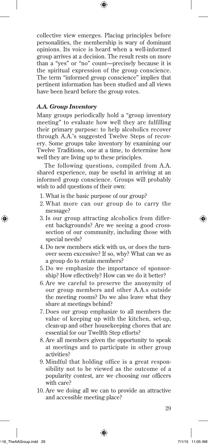collective view emerges. Placing principles before personalities, the membership is wary of dominant opinions. Its voice is heard when a well-informed group arrives at a decision. The result rests on more than a "yes" or "no" count—precisely because it is the spiritual expression of the group conscience. The term "informed group conscience" implies that pertinent information has been studied and all views have been heard before the group votes.

#### *A.A. Group Inventory*

Many groups periodically hold a "group inventory meeting" to evaluate how well they are fulfilling their primary purpose: to help alcoholics recover through A.A.'s suggested Twelve Steps of recovery. Some groups take inventory by examining our Twelve Traditions, one at a time, to determine how well they are living up to these principles.

The following questions, compiled from A.A. shared experience, may be useful in arriving at an informed group conscience. Groups will probably wish to add questions of their own:

- 1. What is the basic purpose of our group?
- 2. What more can our group do to carry the message?
- 3. Is our group attracting alcoholics from different backgrounds? Are we seeing a good crosssection of our community, including those with special needs?
- 4. Do new members stick with us, or does the turnover seem excessive? If so, why? What can we as a group do to retain members?
- 5. Do we emphasize the importance of sponsorship? How effectively? How can we do it better?
- 6. Are we careful to preserve the anonymity of our group members and other A.A.s outside the meeting rooms? Do we also leave what they share at meetings behind?
- 7. Does our group emphasize to all members the value of keeping up with the kitchen, set-up, clean-up and other housekeeping chores that are essential for our Twelfth Step efforts?
- 8. Are all members given the opportunity to speak at meetings and to participate in other group activities?
- 9. Mindful that holding office is a great responsibility not to be viewed as the outcome of a popularity contest, are we choosing our officers with care?
- 10. Are we doing all we can to provide an attractive and accessible meeting place?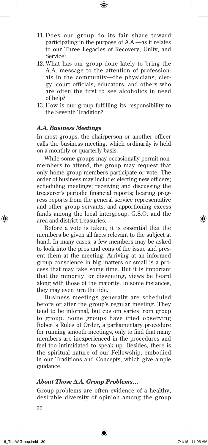- 11. Does our group do its fair share toward participating in the purpose of A.A.—as it relates to our Three Legacies of Recovery, Unity, and Service?
- 12. What has our group done lately to bring the A.A. message to the attention of professionals in the community—the physicians, clergy, court officials, educators, and others who are often the first to see alcoholics in need of help?
- 13. How is our group fulfilling its responsibility to the Seventh Tradition?

#### *A.A. Business Meetings*

In most groups, the chairperson or another officer calls the business meeting, which ordinarily is held on a monthly or quarterly basis.

While some groups may occasionally permit nonmembers to attend, the group may request that only home group members participate or vote. The order of business may include: electing new officers; scheduling meetings; receiving and discussing the treasurer's periodic financial reports; hearing progress reports from the general service representative and other group servants; and apportioning excess funds among the local intergroup, G.S.O. and the area and district treasuries.

Before a vote is taken, it is essential that the members be given all facts relevant to the subject at hand. In many cases, a few members may be asked to look into the pros and cons of the issue and present them at the meeting. Arriving at an informed group conscience in big matters or small is a process that may take some time. But it is important that the minority, or dissenting, views be heard along with those of the majority. In some instances, they may even turn the tide.

Business meetings generally are scheduled before or after the group's regular meeting. They tend to be informal, but custom varies from group to group. Some groups have tried observing Robert's Rules of Order, a parliamentary procedure for running smooth meetings, only to find that many members are inexperienced in the procedures and feel too intimidated to speak up. Besides, there is the spiritual nature of our Fellowship, embodied in our Traditions and Concepts, which give ample guidance.

#### *About Those A.A. Group Problems…*

Group problems are often evidence of a healthy, desirable diversity of opinion among the group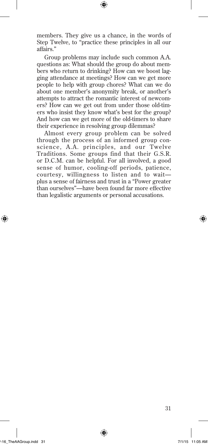members. They give us a chance, in the words of Step Twelve, to "practice these principles in all our affairs."

Group problems may include such common A.A. questions as: What should the group do about members who return to drinking? How can we boost lagging attendance at meetings? How can we get more people to help with group chores? What can we do about one member's anonymity break, or another's attempts to attract the romantic interest of newcomers? How can we get out from under those old-timers who insist they know what's best for the group? And how can we get more of the old-timers to share their experience in resolving group dilemmas?

Almost every group problem can be solved through the process of an informed group conscience, A.A. principles, and our Twelve Traditions. Some groups find that their G.S.R. or D.C.M. can be helpful. For all involved, a good sense of humor, cooling-off periods, patience, courtesy, willingness to listen and to wait plus a sense of fairness and trust in a "Power greater than ourselves"—have been found far more effective than legalistic arguments or personal accusations.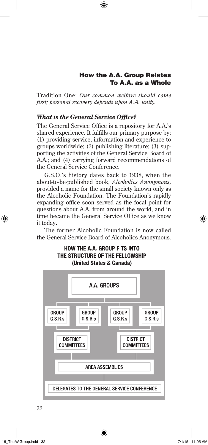#### **How the A.A. Group Relates To A.A. as a Whole**

Tradition One: *Our common welfare should come first; personal recovery depends upon A.A. unity.*

#### *What is the General Service Office?*

The General Service Office is a repository for A.A.'s shared experience. It fulfills our primary purpose by: (1) providing service, information and experience to groups worldwide; (2) publishing literature; (3) supporting the activities of the General Service Board of A.A.; and (4) carrying forward recommendations of the General Service Conference.

G.S.O.'s history dates back to 1938, when the about-to-be-published book, *Alcoholics Anonymous,* provided a name for the small society known only as the Alcoholic Foundation. The Foundation's rapidly expanding office soon served as the focal point for questions about A.A. from around the world, and in time became the General Service Office as we know it today.

The former Alcoholic Foundation is now called the General Service Board of Alcoholics Anonymous.



#### **HOW THE A.A. GROUP FITS INTO** THE STRUCTURE OF THE FELLOWSHIP (United States & Canada)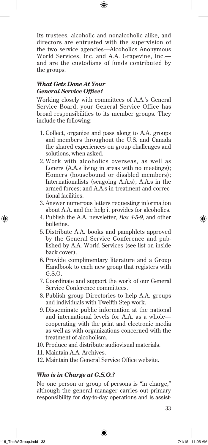Its trustees, alcoholic and nonalcoholic alike, and directors are entrusted with the supervision of the two service agencies—Alcoholics Anonymous World Services, Inc. and A.A. Grapevine, Inc. and are the custodians of funds contributed by the groups.

#### *What Gets Done At Your General Service Office?*

Working closely with committees of A.A.'s General Service Board, your General Service Office has broad responsibilities to its member groups. They include the following:

- 1. Collect, organize and pass along to A.A. groups and members throughout the U.S. and Canada the shared experiences on group challenges and solutions, when asked.
- 2. Work with alcoholics overseas, as well as Loners (A.A.s living in areas with no meetings); Homers (housebound or disabled members); Internationalists (seagoing A.A.s); A.A.s in the armed forces; and A.A.s in treatment and correctional facilities.
- 3. Answer numerous letters requesting information about A.A. and the help it provides for alcoholics.
- 4. Publish the A.A. newsletter, *Box 4-5-9*, and other bulletins.
- 5. Distribute A.A. books and pamphlets approved by the General Service Conference and published by A.A. World Services (see list on inside back cover).
- 6. Provide complimentary literature and a Group Handbook to each new group that registers with G.S.O.
- 7. Coordinate and support the work of our General Service Conference committees.
- 8. Publish group Directories to help A.A. groups and individuals with Twelfth Step work.
- 9. Disseminate public information at the national and international levels for A.A. as a whole cooperating with the print and electronic media as well as with organizations concerned with the treatment of alcoholism.
- 10. Produce and distribute audiovisual materials.
- 11. Maintain A.A. Archives.
- 12. Maintain the General Service Office website.

### *Who is in Charge at G.S.O.?*

No one person or group of persons is "in charge," although the general manager carries out primary responsibility for day-to-day operations and is assist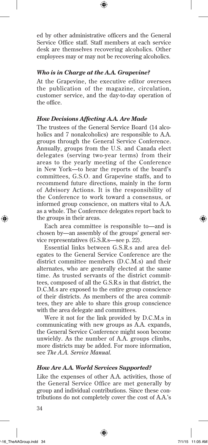ed by other administrative officers and the General Service Office staff. Staff members at each service desk are themselves recovering alcoholics. Other employees may or may not be recovering alcoholics.

#### *Who is in Charge at the A.A. Grapevine?*

At the Grapevine, the executive editor oversees the publication of the magazine, circulation, customer service, and the day-to-day operation of the office.

#### *How Decisions Affecting A.A. Are Made*

The trustees of the General Service Board (14 alcoholics and 7 nonalcoholics) are responsible to A.A. groups through the General Service Conference. Annually, groups from the U.S. and Canada elect delegates (serving two-year terms) from their areas to the yearly meeting of the Conference in New York—to hear the reports of the board's committees, G.S.O. and Grapevine staffs, and to recommend future directions, mainly in the form of Advisory Actions. It is the responsibility of the Conference to work toward a consensus, or informed group conscience, on matters vital to A.A. as a whole. The Conference delegates report back to the groups in their areas.

Each area committee is responsible to—and is chosen by—an assembly of the groups' general service representatives (G.S.R.s—see p. 22).

Essential links between G.S.R.s and area delegates to the General Service Conference are the district committee members (D.C.M.s) and their alternates, who are generally elected at the same time. As trusted servants of the district committees, composed of all the G.S.R.s in that district, the D.C.M.s are exposed to the entire group conscience of their districts. As members of the area committees, they are able to share this group conscience with the area delegate and committees.

Were it not for the link provided by D.C.M.s in communicating with new groups as A.A. expands, the General Service Conference might soon become unwieldy. As the number of A.A. groups climbs, more districts may be added. For more information, see *The A.A. Service Manual.*

#### *How Are A.A. World Services Supported?*

Like the expenses of other A.A. activities, those of the General Service Office are met generally by group and individual contributions. Since these contributions do not completely cover the cost of A.A.'s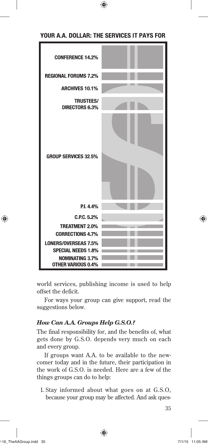#### YOUR A.A. DOLLAR: THE SERVICES IT PAYS FOR



world services, publishing income is used to help offset the deficit.

For ways your group can give support, read the suggestions below.

#### *How Can A.A. Groups Help G.S.O.?*

The final responsibility for, and the benefits of, what gets done by G.S.O. depends very much on each and every group.

If groups want A.A. to be available to the newcomer today and in the future, their participation in the work of G.S.O. is needed. Here are a few of the things groups can do to help:

1. Stay informed about what goes on at G.S.O, because your group may be affected. And ask ques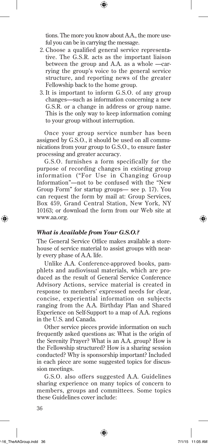tions. The more you know about A.A., the more useful you can be in carrying the message.

- 2. Choose a qualified general service representative. The G.S.R. acts as the important liaison between the group and A.A. as a whole —carrying the group's voice to the general service structure, and reporting news of the greater Fellowship back to the home group.
- 3. It is important to inform G.S.O. of any group changes—such as information concerning a new G.S.R. or a change in address or group name. This is the only way to keep information coming to your group without interruption.

Once your group service number has been assigned by G.S.O., it should be used on all communications from your group to G.S.O., to ensure faster processing and greater accuracy.

G.S.O. furnishes a form specifically for the purpose of recording changes in existing group information ("For Use in Changing Group Information"—not to be confused with the "New Group Form" for startup groups— see p. 17). You can request the form by mail at: Group Services, Box 459, Grand Central Station, New York, NY 10163; or download the form from our Web site at www.aa.org.

#### *What is Available from Your G.S.O.?*

The General Service Office makes available a storehouse of service material to assist groups with nearly every phase of A.A. life.

Unlike A.A. Conference-approved books, pamphlets and audiovisual materials, which are produced as the result of General Service Conference Advisory Actions, service material is created in response to members' expressed needs for clear, concise, experiential information on subjects ranging from the A.A. Birthday Plan and Shared Experience on Self-Support to a map of A.A. regions in the U.S. and Canada.

Other service pieces provide information on such frequently asked questions as: What is the origin of the Serenity Prayer? What is an A.A. group? How is the Fellowship structured? How is a sharing session conducted? Why is sponsorship important? Included in each piece are some suggested topics for discussion meetings.

G.S.O. also offers suggested A.A. Guidelines sharing experience on many topics of concern to members, groups and committees. Some topics these Guidelines cover include: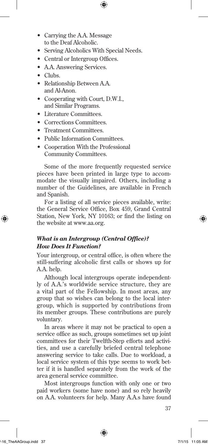- Carrying the A.A. Message to the Deaf Alcoholic.
- Serving Alcoholics With Special Needs.
- Central or Intergroup Offices.
- A.A. Answering Services.
- Clubs.
- Relationship Between A.A. and Al-Anon.
- Cooperating with Court, D.W.I., and Similar Programs.
- Literature Committees.
- Corrections Committees
- Treatment Committees.
- Public Information Committees.
- Cooperation With the Professional Community Committees.

Some of the more frequently requested service pieces have been printed in large type to accommodate the visually impaired. Others, including a number of the Guidelines, are available in French and Spanish.

For a listing of all service pieces available, write: the General Service Office, Box 459, Grand Central Station, New York, NY 10163; or find the listing on the website at www.aa.org.

#### *What is an Intergroup (Central Office)? How Does It Function?*

Your intergroup, or central office, is often where the still-suffering alcoholic first calls or shows up for A.A. help.

Although local intergroups operate independently of A.A.'s worldwide service structure, they are a vital part of the Fellowship. In most areas, any group that so wishes can belong to the local intergroup, which is supported by contributions from its member groups. These contributions are purely voluntary.

In areas where it may not be practical to open a service office as such, groups sometimes set up joint committees for their Twelfth-Step efforts and activities, and use a carefully briefed central telephone answering service to take calls. Due to workload, a local service system of this type seems to work better if it is handled separately from the work of the area general service committee.

Most intergroups function with only one or two paid workers (some have none) and so rely heavily on A.A. volunteers for help. Many A.A.s have found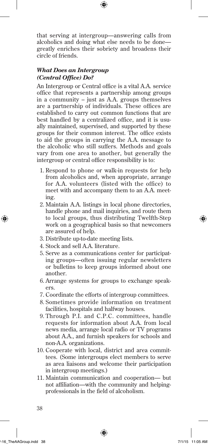that serving at intergroup—answering calls from alcoholics and doing what else needs to be done greatly enriches their sobriety and broadens their circle of friends.

#### *What Does an Intergroup (Central Office) Do?*

An Intergroup or Central office is a vital A.A. service office that represents a partnership among groups in a community – just as A.A. groups themselves are a partnership of individuals. These offices are established to carry out common functions that are best handled by a centralized office, and it is usually maintained, supervised, and supported by these groups for their common interest. The office exists to aid the groups in carrying the A.A. message to the alcoholic who still suffers. Methods and goals vary from one area to another, but generally the intergroup or central office responsibility is to:

- 1. Respond to phone or walk-in requests for help from alcoholics and, when appropriate, arrange for A.A. volunteers (listed with the office) to meet with and accompany them to an A.A. meeting.
- 2. Maintain A.A. listings in local phone directories, handle phone and mail inquiries, and route them to local groups, thus distributing Twelfth-Step work on a geographical basis so that newcomers are assured of help.
- 3. Distribute up-to-date meeting lists.
- 4. Stock and sell A.A. literature.
- 5. Serve as a communications center for participating groups—often issuing regular newsletters or bulletins to keep groups informed about one another.
- 6. Arrange systems for groups to exchange speakers.
- 7. Coordinate the efforts of intergroup committees.
- 8. Sometimes provide information on treatment facilities, hospitals and halfway houses.
- 9. Through P.I. and C.P.C. committees, handle requests for information about A.A. from local news media, arrange local radio or TV programs about A.A., and furnish speakers for schools and non-A.A. organizations.
- 10. Cooperate with local, district and area committees. (Some intergroups elect members to serve as area liaisons and welcome their participation in intergroup meetings.)
- 11. Maintain communication and cooperation— but not affiliation—with the community and helpingprofessionals in the field of alcoholism.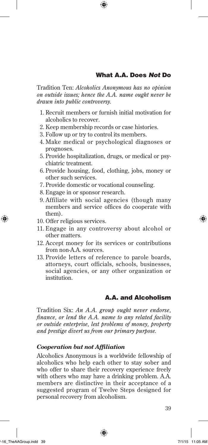### **What A.A. Does** *Not* **Do**

Tradition Ten: *Alcoholics Anonymous has no opinion on outside issues; hence the A.A. name ought never be drawn into public controversy.*

- 1. Recruit members or furnish initial motivation for alcoholics to recover.
- 2. Keep membership records or case histories.
- 3. Follow up or try to control its members.
- 4. Make medical or psychological diagnoses or prognoses.
- 5. Provide hospitalization, drugs, or medical or psychiatric treatment.
- 6. Provide housing, food, clothing, jobs, money or other such services.
- 7. Provide domestic or vocational counseling.
- 8. Engage in or sponsor research.
- 9. Affiliate with social agencies (though many members and service offices do cooperate with them).
- 10. Offer religious services.
- 11. Engage in any controversy about alcohol or other matters.
- 12. Accept money for its services or contributions from non-A.A. sources.
- 13. Provide letters of reference to parole boards, attorneys, court officials, schools, businesses, social agencies, or any other organization or institution.

#### **A.A. and Alcoholism**

Tradition Six: *An A.A. group ought never endorse, finance, or lend the A.A. name to any related facility or outside enterprise, lest problems of money, property and prestige divert us from our primary purpose.*

#### *Cooperation but not Affiliation*

Alcoholics Anonymous is a worldwide fellowship of alcoholics who help each other to stay sober and who offer to share their recovery experience freely with others who may have a drinking problem. A.A. members are distinctive in their acceptance of a suggested program of Twelve Steps designed for personal recovery from alcoholism.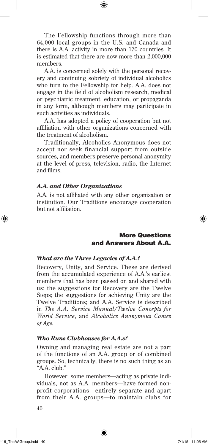The Fellowship functions through more than 64,000 local groups in the U.S. and Canada and there is A.A. activity in more than 170 countries. It is estimated that there are now more than 2,000,000 members.

A.A. is concerned solely with the personal recovery and continuing sobriety of individual alcoholics who turn to the Fellowship for help. A.A. does not engage in the field of alcoholism research, medical or psychiatric treatment, education, or propaganda in any form, although members may participate in such activities as individuals.

A.A. has adopted a policy of cooperation but not affiliation with other organizations concerned with the treatment of alcoholism.

Traditionally, Alcoholics Anonymous does not accept nor seek financial support from outside sources, and members preserve personal anonymity at the level of press, television, radio, the Internet and films.

#### *A.A. and Other Organizations*

A.A. is not affiliated with any other organization or institution. Our Traditions encourage cooperation but not affiliation.

#### **More Questions and Answers About A.A.**

#### *What are the Three Legacies of A.A.?*

Recovery, Unity, and Service. These are derived from the accumulated experience of A.A.'s earliest members that has been passed on and shared with us: the suggestions for Recovery are the Twelve Steps; the suggestions for achieving Unity are the Twelve Traditions; and A.A. Service is described in *The A.A. Service Manual/Twelve Concepts for World Service,* and *Alcoholics Anonymous Comes of Age.*

#### *Who Runs Clubhouses for A.A.s?*

Owning and managing real estate are not a part of the functions of an A.A. group or of combined groups. So, technically, there is no such thing as an "A.A. club."

However, some members—acting as private individuals, not as A.A. members—have formed nonprofit corporations—entirely separate and apart from their A.A. groups—to maintain clubs for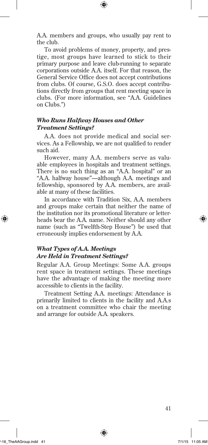A.A. members and groups, who usually pay rent to the club.

To avoid problems of money, property, and prestige, most groups have learned to stick to their primary purpose and leave club-running to separate corporations outside A.A. itself. For that reason, the General Service Office does not accept contributions from clubs. Of course, G.S.O. does accept contributions directly from groups that rent meeting space in clubs. (For more information, see "A.A. Guidelines on Clubs.")

#### *Who Runs Halfway Houses and Other Treatment Settings?*

A.A. does not provide medical and social services. As a Fellowship, we are not qualified to render such aid.

However, many A.A. members serve as valuable employees in hospitals and treatment settings. There is no such thing as an "A.A. hospital" or an "A.A. halfway house"—although A.A. meetings and fellowship, sponsored by A.A. members, are available at many of these facilities.

In accordance with Tradition Six, A.A. members and groups make certain that neither the name of the institution nor its promotional literature or letterheads bear the A.A. name. Neither should any other name (such as "Twelfth-Step House") be used that erroneously implies endorsement by A.A.

#### *What Types of A.A. Meetings Are Held in Treatment Settings?*

Regular A.A. Group Meetings: Some A.A. groups rent space in treatment settings. These meetings have the advantage of making the meeting more accessible to clients in the facility.

Treatment Setting A.A. meetings: Attendance is primarily limited to clients in the facility and A.A.s on a treatment committee who chair the meeting and arrange for outside A.A. speakers.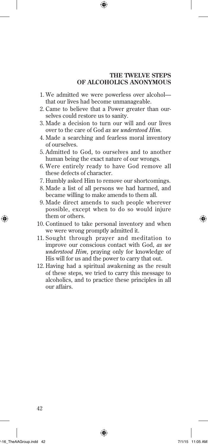#### **THE TWELVE STEPS OF ALCOHOLICS ANONYMOUS**

- 1. We admitted we were powerless over alcohol that our lives had become unmanageable.
- 2. Came to believe that a Power greater than ourselves could restore us to sanity.
- 3. Made a decision to turn our will and our lives over to the care of God *as we understood Him.*
- 4. Made a searching and fearless moral inventory of ourselves.
- 5. Admitted to God, to ourselves and to another human being the exact nature of our wrongs.
- 6. Were entirely ready to have God remove all these defects of character.
- 7. Humbly asked Him to remove our shortcomings.
- 8. Made a list of all persons we had harmed, and became willing to make amends to them all.
- 9. Made direct amends to such people wherever possible, except when to do so would injure them or others.
- 10. Continued to take personal inventory and when we were wrong promptly admitted it.
- 11. Sought through prayer and meditation to improve our conscious contact with God, *as we understood Him,* praying only for knowledge of His will for us and the power to carry that out.
- 12. Having had a spiritual awakening as the result of these steps, we tried to carry this message to alcoholics, and to practice these principles in all our affairs.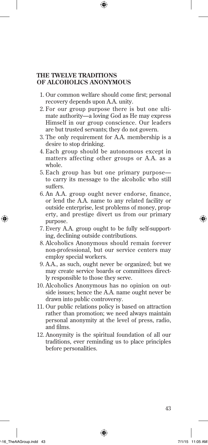#### **THE TWELVE TRADITIONS OF ALCOHOLICS ANONYMOUS**

- 1. Our common welfare should come first; personal recovery depends upon A.A. unity.
- 2. For our group purpose there is but one ultimate authority—a loving God as He may express Himself in our group conscience. Our leaders are but trusted servants; they do not govern.
- 3. The only requirement for A.A. membership is a desire to stop drinking.
- 4. Each group should be autonomous except in matters affecting other groups or A.A. as a whole.
- 5. Each group has but one primary purpose to carry its message to the alcoholic who still suffers.
- 6. An A.A. group ought never endorse, finance, or lend the A.A. name to any related facility or outside enterprise, lest problems of money, property, and prestige divert us from our primary purpose.
- 7. Every A.A. group ought to be fully self-supporting, declining outside contributions.
- 8. Alcoholics Anonymous should remain forever non-professional, but our service centers may employ special workers.
- 9. A.A., as such, ought never be organized; but we may create service boards or committees directly responsible to those they serve.
- 10. Alcoholics Anonymous has no opinion on outside issues; hence the A.A. name ought never be drawn into public controversy.
- 11. Our public relations policy is based on attraction rather than promotion; we need always maintain personal anonymity at the level of press, radio, and films.
- 12. Anonymity is the spiritual foundation of all our traditions, ever reminding us to place principles before personalities.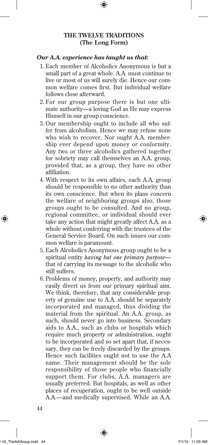#### **THE TWELVE TRADITIONS (The Long Form)**

#### *Our A.A. experience has taught us that:*

- 1. Each member of Alcoholics Anonymous is but a small part of a great whole. A.A. must continue to live or most of us will surely die. Hence our common welfare comes first. But individual welfare follows close afterward.
- 2. For our group purpose there is but one ultimate authority—a loving God as He may express Himself in our group conscience.
- 3. Our membership ought to include all who suffer from alcoholism. Hence we may refuse none who wish to recover. Nor ought A.A. membership ever depend upon money or conformity. Any two or three alcoholics gathered together for sobriety may call themselves an A.A. group, provided that, as a group, they have no other affiliation.
- 4. With respect to its own affairs, each A.A. group should be responsible to no other authority than its own conscience. But when its plans concern the welfare of neighboring groups also, those groups ought to be consulted. And no group, regional committee, or individual should ever take any action that might greatly affect A.A. as a whole without conferring with the trustees of the General Service Board. On such issues our common welfare is paramount.
- 5. Each Alcoholics Anonymous group ought to be a spiritual entity *having but one primary purpose* that of carrying its message to the alcoholic who still suffers.
- 6. Problems of money, property, and authority may easily divert us from our primary spiritual aim. We think, therefore, that any considerable property of genuine use to A.A. should be separately incorporated and managed, thus dividing the material from the spiritual. An A.A. group, as such, should never go into business. Secondary aids to A.A., such as clubs or hospitals which require much property or administration, ought to be incorporated and so set apart that, if necessary, they can be freely discarded by the groups. Hence such facilities ought not to use the A.A name. Their management should be the sole responsibility of those people who financially support them. For clubs, A.A. managers are usually preferred. But hospitals, as well as other places of recuperation, ought to be well outside A.A.—and medically supervised. While an A.A.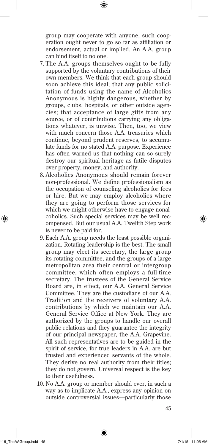group may cooperate with anyone, such cooperation ought never to go so far as affiliation or endorsement, actual or implied. An A.A. group can bind itself to no one.

- 7. The A.A. groups themselves ought to be fully supported by the voluntary contributions of their own members. We think that each group should soon achieve this ideal; that any public solicitation of funds using the name of Alcoholics Anonymous is highly dangerous, whether by groups, clubs, hospitals, or other outside agencies; that acceptance of large gifts from any source, or of contributions carrying any obligations whatever, is unwise. Then, too, we view with much concern those A.A. treasuries which continue, beyond prudent reserves, to accumulate funds for no stated A.A. purpose. Experience has often warned us that nothing can so surely destroy our spiritual heritage as futile disputes over property, money, and authority.
- 8. Alcoholics Anonymous should remain forever non-professional. We define professionalism as the occupation of counseling alcoholics for fees or hire. But we may employ alcoholics where they are going to perform those services for which we might otherwise have to engage nonalcoholics. Such special services may be well recompensed. But our usual A.A. Twelfth Step work is never to be paid for.
- 9. Each A.A. group needs the least possible organization. Rotating leadership is the best. The small group may elect its secretary, the large group its rotating committee, and the groups of a large metropolitan area their central or intergroup committee, which often employs a full-time secretary. The trustees of the General Service Board are, in effect, our A.A. General Service Committee. They are the custodians of our A.A. Tradition and the receivers of voluntary A.A. contributions by which we maintain our A.A. General Service Office at New York. They are authorized by the groups to handle our overall public relations and they guarantee the integrity of our principal newspaper, the A.A. Grapevine. All such representatives are to be guided in the spirit of service, for true leaders in A.A. are but trusted and experienced servants of the whole. They derive no real authority from their titles; they do not govern. Universal respect is the key to their usefulness.
- 10. No A.A. group or member should ever, in such a way as to implicate A.A., express any opinion on outside controversial issues—particularly those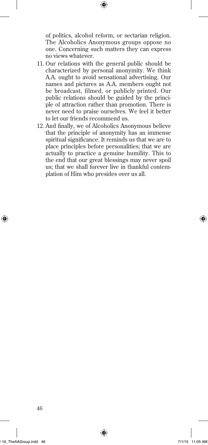of politics, alcohol reform, or sectarian religion. The Alcoholics Anonymous groups oppose no one. Concerning such matters they can express no views whatever.

- 11. Our relations with the general public should be characterized by personal anonymity. We think A.A. ought to avoid sensational advertising. Our names and pictures as A.A. members ought not be broadcast, filmed, or publicly printed. Our public relations should be guided by the principle of attraction rather than promotion. There is never need to praise ourselves. We feel it better to let our friends recommend us.
- 12. And finally, we of Alcoholics Anonymous believe that the principle of anonymity has an immense spiritual significance. It reminds us that we are to place principles before personalities; that we are actually to practice a genuine humility. This to the end that our great blessings may never spoil us; that we shall forever live in thankful contemplation of Him who presides over us all.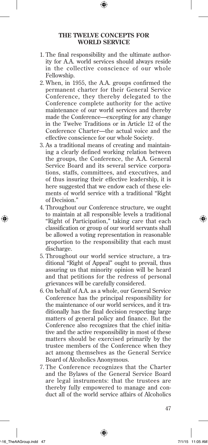#### **THE TWELVE CONCEPTS FOR WORLD SERVICE**

- 1. The final responsibility and the ultimate authority for A.A. world services should always reside in the collective conscience of our whole Fellowship.
- 2. When, in 1955, the A.A. groups confirmed the permanent charter for their General Service Conference, they thereby delegated to the Conference complete authority for the active maintenance of our world services and thereby made the Conference—excepting for any change in the Twelve Traditions or in Article 12 of the Conference Charter—the actual voice and the effective conscience for our whole Society.
- 3. As a traditional means of creating and maintaining a clearly defined working relation between the groups, the Conference, the A.A. General Service Board and its several service corporations, staffs, committees, and executives, and of thus insuring their effective leadership, it is here suggested that we endow each of these elements of world service with a traditional "Right of Decision."
- 4. Throughout our Conference structure, we ought to maintain at all responsible levels a traditional "Right of Participation," taking care that each classification or group of our world servants shall be allowed a voting representation in reasonable proportion to the responsibility that each must discharge.
- 5. Throughout our world service structure, a traditional "Right of Appeal" ought to prevail, thus assuring us that minority opinion will be heard and that petitions for the redress of personal grievances will be carefully considered.
- 6. On behalf of A.A. as a whole, our General Service Conference has the principal responsibility for the maintenance of our world services, and it traditionally has the final decision respecting large matters of general policy and finance. But the Conference also recognizes that the chief initiative and the active responsibility in most of these matters should be exercised primarily by the trustee members of the Conference when they act among themselves as the General Service Board of Alcoholics Anonymous.
- 7. The Conference recognizes that the Charter and the Bylaws of the General Service Board are legal instruments: that the trustees are thereby fully empowered to manage and conduct all of the world service affairs of Alcoholics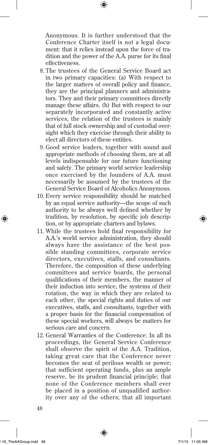Anonymous. It is further understood that the Conference Charter itself is not a legal document: that it relies instead upon the force of tradition and the power of the A.A. purse for its final effectiveness.

- 8. The trustees of the General Service Board act in two primary capacities: (a) With respect to the larger matters of overall policy and finance, they are the principal planners and administrators. They and their primary committees directly manage these affairs. (b) But with respect to our separately incorporated and constantly active services, the relation of the trustees is mainly that of full stock ownership and of custodial oversight which they exercise through their ability to elect all directors of these entities.
- 9. Good service leaders, together with sound and appropriate methods of choosing them, are at all levels indispensable for our future functioning and safety. The primary world service leadership once exercised by the founders of A.A. must necessarily be assumed by the trustees of the General Service Board of Alcoholics Anonymous.
- 10. Every service responsibility should be matched by an equal service authority—the scope of such authority to be always well defined whether by tradition, by resolution, by specific job description, or by appropriate charters and bylaws.
- 11. While the trustees hold final responsibility for A.A.'s world service administration, they should always have the assistance of the best possible standing committees, corporate service directors, executives, staffs, and consultants. Therefore, the composition of these underlying committees and service boards, the personal qualifications of their members, the manner of their induction into service, the systems of their rotation, the way in which they are related to each other, the special rights and duties of our executives, staffs, and consultants, together with a proper basis for the financial compensation of these special workers, will always be matters for serious care and concern.
- 12. General Warranties of the Conference: In all its proceedings, the General Service Conference shall observe the spirit of the A.A. Tradition, taking great care that the Conference never becomes the seat of perilous wealth or power; that sufficient operating funds, plus an ample reserve, be its prudent financial principle; that none of the Conference members shall ever be placed in a position of unqualified authority over any of the others; that all important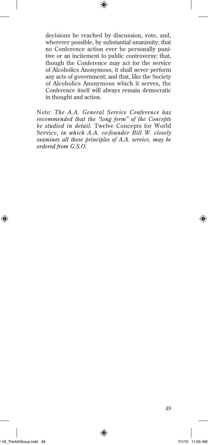decisions be reached by discussion, vote, and, wherever possible, by substantial unanimity; that no Conference action ever be personally punitive or an incitement to public controversy; that, though the Conference may act for the service of Alcoholics Anonymous, it shall never perform any acts of government; and that, like the Society of Alcoholics Anonymous which it serves, the Conference itself will always remain democratic in thought and action.

Note: *The A.A. General Service Conference has recommended that the "long form" of the Concepts be studied in detail.* Twelve Concepts for World Service, *in which A.A. co-founder Bill W. closely examines all these principles of A.A. service, may be ordered from G.S.O.*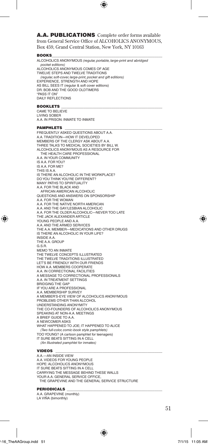**A.A. PUBLICATIONS** Complete order forms available from General Service Office of ALCOHOLICS ANONYMOUS, Box 459, Grand Central Station, New York, NY 10163

**BOOKS \_\_\_\_\_\_\_\_\_\_\_\_\_\_\_\_\_\_\_\_\_\_\_\_\_\_\_\_\_\_\_\_\_\_\_\_\_\_\_\_\_\_\_\_\_\_\_\_\_\_\_\_\_\_\_\_\_\_\_** ALCOHOLICS ANONYMOUS (regular, portable, large-print and abridged pocket editions) ALCOHOLICS ANONYMOUS COMES OF AGE TWELVE STEPS AND TWELVE TRADITIONS (regular, soft-cover, large-print, pocket and gift editions) EXPERIENCE, STRENGTH AND HOPE AS BILL SEES IT (regular & soft cover editions) DR. BOB AND THE GOOD OLDTIMERS "PASS IT ON" DAILY REFLECTIONS

#### **BOOKLETS \_\_\_\_\_\_\_\_\_\_\_\_\_\_\_\_\_\_\_\_\_\_\_\_\_\_\_\_\_\_\_\_\_\_\_\_\_\_\_\_\_\_\_\_\_\_\_\_\_\_\_\_\_\_**

CAME TO BELIEVE LIVING SOBER A.A. IN PRISON: INMATE TO INMATE

#### **PAMPHLETS**

FREQUENTLY ASKED QUESTIONS ABOUT A.A. A.A. TRADITION—HOW IT DEVELOPED MEMBERS OF THE CLERGY ASK ABOUT A A. THREE TALKS TO MEDICAL SOCIETIES BY BILL W. ALCOHOLICS ANONYMOUS AS A RESOURCE FOR THE HEALTH CARE PROFESSIONAL A.A. IN YOUR COMMUNITY IS A.A. FOR YOU? IS A.A. FOR ME? THIS IS A.A. IS THERE AN ALCOHOLIC IN THE WORKPLACE? DO YOU THINK YOU'RE DIFFERENT? MANY PATHS TO SPIRITUALITY A.A. FOR THE BLACK AND AFRICAN AMERICAN ALCOHOLIC QUESTIONS AND ANSWERS ON SPONSORSHIP A.A. FOR THE WOMAN A.A. FOR THE NATIVE NORTH AMERICAN A.A. AND THE GAY/LESBIAN ALCOHOLIC A.A. FOR THE OLDER ALCOHOLIC—NEVER TOO LATE THE JACK ALEXANDER ARTICLE YOUNG PEOPLE AND A.A. A.A. AND THE ARMED SERVICES THE A.A. MEMBER—MEDICATIONS AND OTHER DRUGS IS THERE AN ALCOHOLIC IN YOUR LIFE? INSIDE A.A. THE A.A. GROUP G.S.R. MEMO TO AN INMATE THE TWELVE CONCEPTS ILLUSTRATED THE TWELVE TRADITIONS ILLUSTRATED LET'S BE FRIENDLY WITH OUR FRIENDS HOW A.A. MEMBERS COOPERATE A.A. IN CORRECTIONAL FACILITIES A MESSAGE TO CORRECTIONAL PROFESSIONALS A.A. IN TREATMENT SETTINGS BRIDGING THE GAP IF YOU ARE A PROFESSIONAL A.A. MEMBERSHIP SURVEY A MEMBER'S-EYE VIEW OF ALCOHOLICS ANONYMOUS PROBLEMS OTHER THAN ALCOHOL UNDERSTANDING ANONYMITY THE CO-FOUNDERS OF ALCOHOLICS ANONYMOUS SPEAKING AT NON-A.A. MEETINGS A BRIEF GUIDE TO A.A. A NEWCOMER ASKS WHAT HAPPENED TO JOE; IT HAPPENED TO ALICE (Two full-color, comic-book style pamphlets) TOO YOUNG? (A cartoon pamphlet for teenagers) IT SURE BEATS SITTING IN A CELL (An Illustrated pamphlet for inmates)

#### **VIDEOS \_\_\_\_\_\_\_\_\_\_\_\_\_\_\_\_\_\_\_\_\_\_\_\_\_\_\_\_\_\_\_\_\_\_\_\_\_\_\_\_\_\_\_\_\_\_\_\_\_\_\_\_\_\_\_\_\_**

A.A.—AN INSIDE VIEW A.A. VIDEOS FOR YOUNG PEOPLE HOPE: ALCOHOLICS ANONYMOUS IT SURE BEATS SITTING IN A CELL CARRYING THE MESSAGE BEHIND THESE WALLS YOUR A.A. GENERAL SERVICE OFFICE. THE GRAPEVINE AND THE GENERAL SERVICE STRUCTURE

#### **PERIODICALS \_\_\_\_\_\_\_\_\_\_\_\_\_\_\_\_\_\_\_\_\_\_\_\_\_\_\_\_\_\_\_\_\_\_\_\_\_\_\_\_\_\_\_\_\_\_\_\_\_\_\_**

A.A. GRAPEVINE (monthly) LA VIÑA (bimonthly)